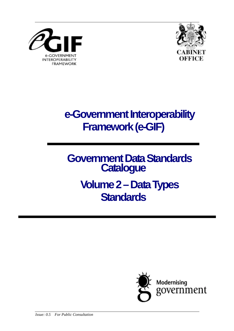



**e-Government Interoperability Framework (e-GIF)** 

**Government Data Standards Catalogue Volume 2 – Data Types Standards** 

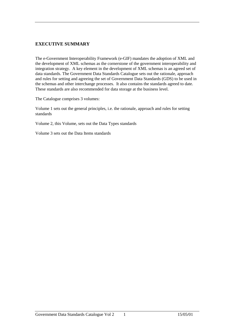#### **EXECUTIVE SUMMARY**

The e-Government Interoperability Framework (e-GIF) mandates the adoption of XML and the development of XML schemas as the cornerstone of the government interoperability and integration strategy. A key element in the development of XML schemas is an agreed set of data standards. The Government Data Standards Catalogue sets out the rationale, approach and rules for setting and agreeing the set of Government Data Standards (GDS) to be used in the schemas and other interchange processes. It also contains the standards agreed to date. These standards are also recommended for data storage at the business level.

The Catalogue comprises 3 volumes:

Volume 1 sets out the general principles, i.e. the rationale, approach and rules for setting standards

Volume 2, this Volume, sets out the Data Types standards

Volume 3 sets out the Data Items standards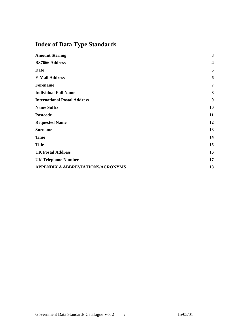# **Index of Data Type Standards**

| <b>Amount Sterling</b>              | $\mathbf{3}$     |
|-------------------------------------|------------------|
| <b>BS7666 Address</b>               | $\boldsymbol{4}$ |
| <b>Date</b>                         | 5                |
| <b>E-Mail Address</b>               | 6                |
| <b>Forename</b>                     | $\overline{7}$   |
| <b>Individual Full Name</b>         | 8                |
| <b>International Postal Address</b> | 9                |
| <b>Name Suffix</b>                  | 10               |
| Postcode                            | 11               |
| <b>Requested Name</b>               | 12               |
| <b>Surname</b>                      | 13               |
| <b>Time</b>                         | 14               |
| <b>Title</b>                        | 15               |
| <b>UK Postal Address</b>            | 16               |
| <b>UK Telephone Number</b>          | 17               |
| APPENDIX A ABBREVIATIONS/ACRONYMS   | 18               |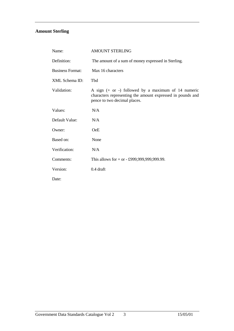## **Amount Sterling**

| Name:                   | <b>AMOUNT STERLING</b>                                                                                                                              |
|-------------------------|-----------------------------------------------------------------------------------------------------------------------------------------------------|
| Definition:             | The amount of a sum of money expressed in Sterling.                                                                                                 |
| <b>Business Format:</b> | Max 16 characters                                                                                                                                   |
| XML Schema ID:          | Tbd                                                                                                                                                 |
| Validation:             | A sign $(+ or -)$ followed by a maximum of 14 numeric<br>characters representing the amount expressed in pounds and<br>pence to two decimal places. |
| Values:                 | N/A                                                                                                                                                 |
| Default Value:          | N/A                                                                                                                                                 |
| Owner:                  | <b>OeE</b>                                                                                                                                          |
| Based on:               | None                                                                                                                                                |
| Verification:           | N/A                                                                                                                                                 |
| Comments:               | This allows for $+$ or $-$ £999,999,999,999.99.                                                                                                     |
| Version:                | $0.4$ draft                                                                                                                                         |
| Date:                   |                                                                                                                                                     |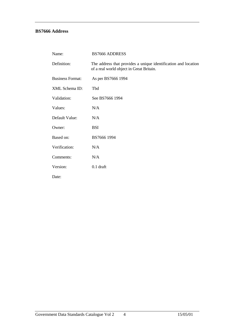### **BS7666 Address**

| Name:                   | <b>BS7666 ADDRESS</b>                                                                                      |
|-------------------------|------------------------------------------------------------------------------------------------------------|
| Definition:             | The address that provides a unique identification and location<br>of a real world object in Great Britain. |
| <b>Business Format:</b> | As per BS7666 1994                                                                                         |
| XML Schema ID:          | Tbd                                                                                                        |
| Validation:             | See BS7666 1994                                                                                            |
| Values:                 | N/A                                                                                                        |
| Default Value:          | N/A                                                                                                        |
| Owner:                  | <b>BSI</b>                                                                                                 |
| Based on:               | BS7666 1994                                                                                                |
| Verification:           | N/A                                                                                                        |
| Comments:               | N/A                                                                                                        |
| Version:                | $0.1$ draft                                                                                                |
| Date:                   |                                                                                                            |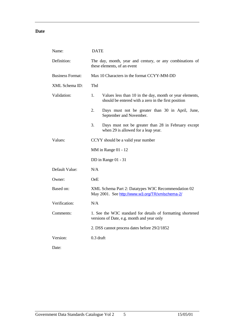#### **Date**

| Name:                   | <b>DATE</b>                                                                                                          |  |
|-------------------------|----------------------------------------------------------------------------------------------------------------------|--|
| Definition:             | The day, month, year and century, or any combinations of<br>these elements, of an event                              |  |
| <b>Business Format:</b> | Max 10 Characters in the format CCYY-MM-DD                                                                           |  |
| XML Schema ID:          | Tbd                                                                                                                  |  |
| Validation:             | Values less than 10 in the day, month or year elements,<br>1.<br>should be entered with a zero in the first position |  |
|                         | 2.<br>Days must not be greater than 30 in April, June,<br>September and November.                                    |  |
|                         | 3.<br>Days must not be greater than 28 in February except<br>when 29 is allowed for a leap year.                     |  |
| Values:                 | CCYY should be a valid year number                                                                                   |  |
|                         | $MM$ in Range 01 - 12                                                                                                |  |
|                         | DD in Range 01 - 31                                                                                                  |  |
| Default Value:          | N/A                                                                                                                  |  |
| Owner:                  | <b>OeE</b>                                                                                                           |  |
| Based on:               | XML Schema Part 2: Datatypes W3C Recommendation 02<br>May 2001. See http://www.w3.org/TR/xmlschema-2/                |  |
| Verification:           | N/A                                                                                                                  |  |
| Comments:               | 1. See the W3C standard for details of formatting shortened<br>versions of Date, e.g. month and year only            |  |
|                         | 2. DSS cannot process dates before 29/2/1852                                                                         |  |
| Version:                | $0.3$ draft                                                                                                          |  |
| Date:                   |                                                                                                                      |  |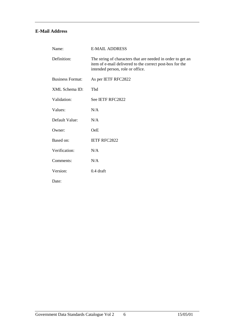### **E-Mail Address**

| Name:                   | <b>E-MAIL ADDRESS</b>                                                                                                                                       |
|-------------------------|-------------------------------------------------------------------------------------------------------------------------------------------------------------|
| Definition:             | The string of characters that are needed in order to get an<br>item of e-mail delivered to the correct post-box for the<br>intended person, role or office. |
| <b>Business Format:</b> | As per IETF RFC2822                                                                                                                                         |
| <b>XML</b> Schema ID:   | Tbd                                                                                                                                                         |
| Validation:             | See IETF RFC2822                                                                                                                                            |
| Values:                 | N/A                                                                                                                                                         |
| Default Value:          | N/A                                                                                                                                                         |
| Owner:                  | OeE                                                                                                                                                         |
| Based on:               | IETF RFC2822                                                                                                                                                |
| Verification:           | N/A                                                                                                                                                         |
| Comments:               | N/A                                                                                                                                                         |
| Version:                | $0.4$ draft                                                                                                                                                 |
| Date:                   |                                                                                                                                                             |

Government Data Standards Catalogue Vol 2 6 15/05/01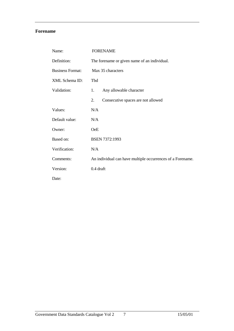#### **Forename**

| Name:                   | <b>FORENAME</b>                              |                                                            |
|-------------------------|----------------------------------------------|------------------------------------------------------------|
| Definition:             | The forename or given name of an individual. |                                                            |
| <b>Business Format:</b> | Max 35 characters                            |                                                            |
| XML Schema ID:          | Tbd                                          |                                                            |
| Validation:             | 1.                                           | Any allowable character                                    |
|                         | 2.                                           | Consecutive spaces are not allowed                         |
| Values:                 | N/A                                          |                                                            |
| Default value:          | N/A                                          |                                                            |
| Owner:                  | <b>OeE</b>                                   |                                                            |
| Based on:               |                                              | BSEN 7372:1993                                             |
| Verification:           | N/A                                          |                                                            |
| Comments:               |                                              | An individual can have multiple occurrences of a Forename. |
| Version:                | $0.4$ draft                                  |                                                            |
| Date:                   |                                              |                                                            |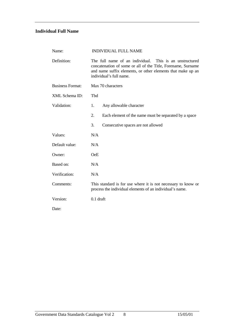### **Individual Full Name**

| Name:                   | <b>INDIVIDUAL FULL NAME</b>                                                                                                                                                                                       |  |
|-------------------------|-------------------------------------------------------------------------------------------------------------------------------------------------------------------------------------------------------------------|--|
| Definition:             | The full name of an individual. This is an unstructured<br>concatenation of some or all of the Title, Forename, Surname<br>and name suffix elements, or other elements that make up an<br>individual's full name. |  |
| <b>Business Format:</b> | Max 70 characters                                                                                                                                                                                                 |  |
| XML Schema ID:          | Tbd                                                                                                                                                                                                               |  |
| Validation:             | 1.<br>Any allowable character                                                                                                                                                                                     |  |
|                         | 2.<br>Each element of the name must be separated by a space                                                                                                                                                       |  |
|                         | 3.<br>Consecutive spaces are not allowed                                                                                                                                                                          |  |
| Values:                 | N/A                                                                                                                                                                                                               |  |
| Default value:          | N/A                                                                                                                                                                                                               |  |
| Owner:                  | OeE                                                                                                                                                                                                               |  |
| Based on:               | N/A                                                                                                                                                                                                               |  |
| Verification:           | N/A                                                                                                                                                                                                               |  |
| Comments:               | This standard is for use where it is not necessary to know or<br>process the individual elements of an individual's name.                                                                                         |  |
| Version:                | $0.1$ draft                                                                                                                                                                                                       |  |
| Date:                   |                                                                                                                                                                                                                   |  |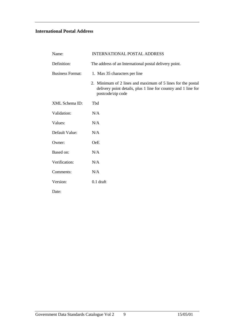### **International Postal Address**

| Name:                   | <b>INTERNATIONAL POSTAL ADDRESS</b>                                                                                                                |
|-------------------------|----------------------------------------------------------------------------------------------------------------------------------------------------|
| Definition:             | The address of an International postal delivery point.                                                                                             |
| <b>Business Format:</b> | 1. Max 35 characters per line                                                                                                                      |
|                         | 2. Minimum of 2 lines and maximum of 5 lines for the postal<br>delivery point details, plus 1 line for country and 1 line for<br>postcode/zip code |
| XML Schema ID:          | Tbd                                                                                                                                                |
| Validation:             | N/A                                                                                                                                                |
| Values:                 | N/A                                                                                                                                                |
| Default Value:          | N/A                                                                                                                                                |
| Owner:                  | <b>OeE</b>                                                                                                                                         |
| Based on:               | N/A                                                                                                                                                |
| Verification:           | N/A                                                                                                                                                |
| Comments:               | N/A                                                                                                                                                |
| Version:                | $0.1$ draft                                                                                                                                        |
| Date:                   |                                                                                                                                                    |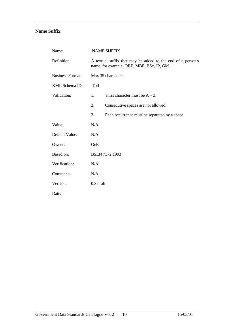#### **Name Suffix**

| Name:                   | <b>NAME SUFFIX</b> |                                                                                                          |
|-------------------------|--------------------|----------------------------------------------------------------------------------------------------------|
| Definition:             |                    | A textual suffix that may be added to the end of a person's<br>name, for example, OBE, MBE, BSc, JP, GM. |
| <b>Business Format:</b> |                    | Max 35 characters                                                                                        |
| XML Schema ID:          | Tbd                |                                                                                                          |
| Validation:             | 1.                 | First character must be $A - Z$                                                                          |
|                         | 2.                 | Consecutive spaces are not allowed.                                                                      |
|                         | 3.                 | Each occurrence must be separated by a space                                                             |
| Value:                  | N/A                |                                                                                                          |
| Default Value:          | N/A                |                                                                                                          |
| Owner:                  | <b>OeE</b>         |                                                                                                          |
| Based on:               |                    | <b>BSEN 7372:1993</b>                                                                                    |
| Verification:           | N/A                |                                                                                                          |
| Comments:               | N/A                |                                                                                                          |
| Version:                | $0.3$ draft        |                                                                                                          |
| Date:                   |                    |                                                                                                          |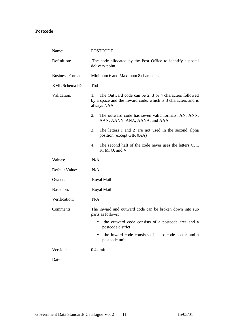### **Postcode**

| Name:                   | <b>POSTCODE</b>                                                                                                                           |  |
|-------------------------|-------------------------------------------------------------------------------------------------------------------------------------------|--|
| Definition:             | The code allocated by the Post Office to identify a postal<br>delivery point.                                                             |  |
| <b>Business Format:</b> | Minimum 6 and Maximum 8 characters                                                                                                        |  |
| XML Schema ID:          | Tbd                                                                                                                                       |  |
| Validation:             | The Outward code can be 2, 3 or 4 characters followed<br>1.<br>by a space and the inward code, which is 3 characters and is<br>always NAA |  |
|                         | 2.<br>The outward code has seven valid formats, AN, ANN,<br>AAN, AANN, ANA, AANA, and AAA                                                 |  |
|                         | 3.<br>The letters I and Z are not used in the second alpha<br>position (except GIR 0AA)                                                   |  |
|                         | 4.<br>The second half of the code never uses the letters C, I,<br>K, M, O, and V                                                          |  |
| Values:                 | N/A                                                                                                                                       |  |
| Default Value:          | N/A                                                                                                                                       |  |
| Owner:                  | Royal Mail                                                                                                                                |  |
| Based on:               | Royal Mail                                                                                                                                |  |
| Verification:           | N/A                                                                                                                                       |  |
| Comments:               | The inward and outward code can be broken down into sub<br>parts as follows:                                                              |  |
|                         | the outward code consists of a postcode area and a<br>٠<br>postcode district,                                                             |  |
|                         | the inward code consists of a postcode sector and a<br>postcode unit.                                                                     |  |
| Version:                | $0.4$ draft                                                                                                                               |  |
| Date:                   |                                                                                                                                           |  |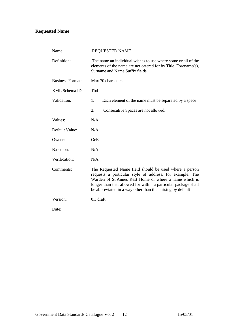## **Requested Name**

| Name:                   | <b>REQUESTED NAME</b>                                                                                                                                                                                                                                                                                       |  |  |
|-------------------------|-------------------------------------------------------------------------------------------------------------------------------------------------------------------------------------------------------------------------------------------------------------------------------------------------------------|--|--|
| Definition:             | The name an individual wishes to use where some or all of the<br>elements of the name are not catered for by Title, Forename(s),<br>Surname and Name Suffix fields.                                                                                                                                         |  |  |
| <b>Business Format:</b> | Max 70 characters                                                                                                                                                                                                                                                                                           |  |  |
| XML Schema ID:          | Tbd                                                                                                                                                                                                                                                                                                         |  |  |
| Validation:             | 1.<br>Each element of the name must be separated by a space                                                                                                                                                                                                                                                 |  |  |
|                         | 2.<br>Consecutive Spaces are not allowed.                                                                                                                                                                                                                                                                   |  |  |
| Values:                 | N/A                                                                                                                                                                                                                                                                                                         |  |  |
| Default Value:          | N/A                                                                                                                                                                                                                                                                                                         |  |  |
| Owner:                  | <b>OeE</b>                                                                                                                                                                                                                                                                                                  |  |  |
| Based on:               | N/A                                                                                                                                                                                                                                                                                                         |  |  |
| Verification:           | N/A                                                                                                                                                                                                                                                                                                         |  |  |
| Comments:               | The Requested Name field should be used where a person<br>requests a particular style of address, for example, The<br>Warden of St.Annes Rest Home or where a name which is<br>longer than that allowed for within a particular package shall<br>be abbreviated in a way other than that arising by default |  |  |
| Version:                | $0.3$ draft                                                                                                                                                                                                                                                                                                 |  |  |
| Date:                   |                                                                                                                                                                                                                                                                                                             |  |  |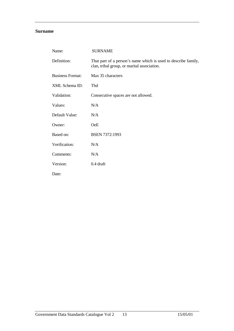#### **Surname**

| Name:                   | <b>SURNAME</b>                                                                                                |
|-------------------------|---------------------------------------------------------------------------------------------------------------|
| Definition:             | That part of a person's name which is used to describe family,<br>clan, tribal group, or marital association. |
| <b>Business Format:</b> | Max 35 characters                                                                                             |
| XML Schema ID:          | Tbd                                                                                                           |
| Validation:             | Consecutive spaces are not allowed.                                                                           |
| Values:                 | N/A                                                                                                           |
| Default Value:          | N/A                                                                                                           |
| Owner:                  | <b>OeE</b>                                                                                                    |
| Based on:               | BSEN 7372:1993                                                                                                |
| Verification:           | N/A                                                                                                           |
| Comments:               | N/A                                                                                                           |
| Version:                | $0.4$ draft                                                                                                   |
| Date:                   |                                                                                                               |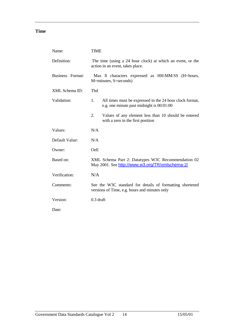### **Time**

| Name:            | <b>TIME</b>                                                                                                 |  |
|------------------|-------------------------------------------------------------------------------------------------------------|--|
| Definition:      | The time (using a 24 hour clock) at which an event, or the<br>action in an event, takes place.              |  |
| Business Format: | Max 8 characters expressed as HH:MM:SS (H=hours,<br>M=minutes, S=seconds)                                   |  |
| XML Schema ID:   | Tbd                                                                                                         |  |
| Validation:      | 1.<br>All times must be expressed in the 24 hour clock format,<br>e.g. one minute past midnight is 00:01:00 |  |
|                  | 2.<br>Values of any element less than 10 should be entered<br>with a zero in the first position             |  |
| Values:          | N/A                                                                                                         |  |
| Default Value:   | N/A                                                                                                         |  |
| Owner:           | <b>OeE</b>                                                                                                  |  |
| Based on:        | XML Schema Part 2: Datatypes W3C Recommendation 02<br>May 2001. See http://www.w3.org/TR/xmlschema-2/       |  |
| Verification:    | N/A                                                                                                         |  |
| Comments:        | See the W3C standard for details of formatting shortened<br>versions of Time, e.g. hours and minutes only   |  |
| Version:         | $0.3$ draft                                                                                                 |  |
| Date:            |                                                                                                             |  |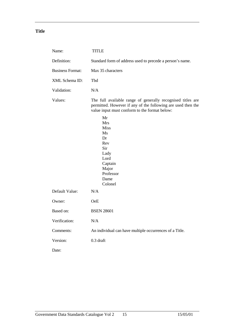### **Title**

| Name:                   | <b>TITLE</b>                                                                                                                                                                                                                                                                                           |
|-------------------------|--------------------------------------------------------------------------------------------------------------------------------------------------------------------------------------------------------------------------------------------------------------------------------------------------------|
| Definition:             | Standard form of address used to precede a person's name.                                                                                                                                                                                                                                              |
| <b>Business Format:</b> | Max 35 characters                                                                                                                                                                                                                                                                                      |
| XML Schema ID:          | Tbd                                                                                                                                                                                                                                                                                                    |
| Validation:             | N/A                                                                                                                                                                                                                                                                                                    |
| Values:                 | The full available range of generally recognised titles are<br>permitted. However if any of the following are used then the<br>value input must conform to the format below:<br>Mr<br>Mrs<br><b>Miss</b><br>Ms<br>Dr<br>Rev<br>Sir<br>Lady<br>Lord<br>Captain<br>Major<br>Professor<br>Dame<br>Colonel |
| Default Value:          | N/A                                                                                                                                                                                                                                                                                                    |
| Owner:                  | <b>OeE</b>                                                                                                                                                                                                                                                                                             |
| Based on:               | <b>BSEN 28601</b>                                                                                                                                                                                                                                                                                      |
| Verification:           | N/A                                                                                                                                                                                                                                                                                                    |
| Comments:               | An individual can have multiple occurrences of a Title.                                                                                                                                                                                                                                                |
| Version:                | $0.3$ draft                                                                                                                                                                                                                                                                                            |
| Date:                   |                                                                                                                                                                                                                                                                                                        |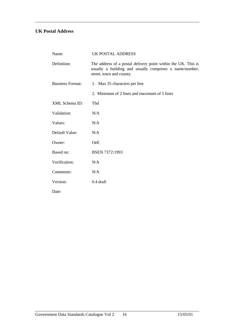### **UK Postal Address**

| Name:                   | <b>UK POSTAL ADDRESS</b>                                                                                                                             |
|-------------------------|------------------------------------------------------------------------------------------------------------------------------------------------------|
| Definition:             | The address of a postal delivery point within the UK. This is<br>usually a building and usually comprises a name/number,<br>street, town and county. |
| <b>Business Format:</b> | 1. Max 35 characters per line                                                                                                                        |
|                         | 2. Minimum of 2 lines and maximum of 5 lines                                                                                                         |
| XML Schema ID:          | Tbd                                                                                                                                                  |
| Validation:             | N/A                                                                                                                                                  |
| Values:                 | N/A                                                                                                                                                  |
| Default Value:          | N/A                                                                                                                                                  |
| Owner:                  | <b>OeE</b>                                                                                                                                           |
| Based on:               | <b>BSEN 7372:1993</b>                                                                                                                                |
| Verification:           | N/A                                                                                                                                                  |
| Comments:               | N/A                                                                                                                                                  |
| Version:                | $0.4$ draft                                                                                                                                          |
| Date:                   |                                                                                                                                                      |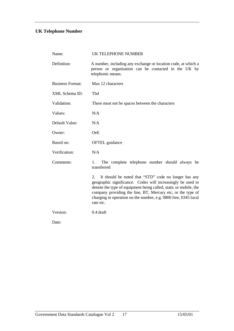# **UK Telephone Number**

| Name:                   | <b>UK TELEPHONE NUMBER</b>                                                                                                                                                                                                                                                                                                                   |
|-------------------------|----------------------------------------------------------------------------------------------------------------------------------------------------------------------------------------------------------------------------------------------------------------------------------------------------------------------------------------------|
| Definition:             | A number, including any exchange or location code, at which a<br>person or organisation can be contacted in the UK by<br>telephonic means.                                                                                                                                                                                                   |
| <b>Business Format:</b> | Max 12 characters                                                                                                                                                                                                                                                                                                                            |
| XML Schema ID:          | Tbd                                                                                                                                                                                                                                                                                                                                          |
| Validation:             | There must not be spaces between the characters                                                                                                                                                                                                                                                                                              |
| Values:                 | N/A                                                                                                                                                                                                                                                                                                                                          |
| Default Value:          | N/A                                                                                                                                                                                                                                                                                                                                          |
| Owner:                  | <b>OeE</b>                                                                                                                                                                                                                                                                                                                                   |
| Based on:               | <b>OFTEL</b> guidance                                                                                                                                                                                                                                                                                                                        |
| Verification:           | N/A                                                                                                                                                                                                                                                                                                                                          |
| Comments:               | The complete telephone number should always be<br>1.<br>transferred                                                                                                                                                                                                                                                                          |
|                         | It should be noted that "STD" code no longer has any<br>2.<br>geographic significance. Codes will increasingly be used to<br>denote the type of equipment being called, static or mobile, the<br>company providing the line, BT, Mercury etc, or the type of<br>charging in operation on the number, e.g. 0800 free, 0345 local<br>rate etc. |
| Version:                | 0.4 draft                                                                                                                                                                                                                                                                                                                                    |
| Date:                   |                                                                                                                                                                                                                                                                                                                                              |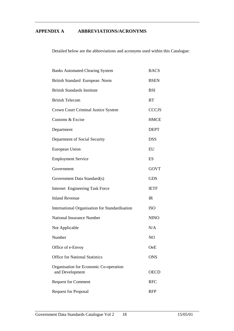#### **APPENDIX A ABBREVIATIONS/ACRONYMS**

Detailed below are the abbreviations and acronyms used within this Catalogue:

| <b>Banks Automated Clearing System</b>                    |                |  |
|-----------------------------------------------------------|----------------|--|
| British Standard European Norm                            |                |  |
| <b>British Standards Institute</b>                        | <b>BSI</b>     |  |
| <b>British Telecom</b>                                    | <b>BT</b>      |  |
| Crown Court Criminal Justice System                       | <b>CCCJS</b>   |  |
| Customs & Excise                                          | <b>HMCE</b>    |  |
| Department                                                | <b>DEPT</b>    |  |
| Department of Social Security                             | <b>DSS</b>     |  |
| European Union                                            | EU             |  |
| <b>Employment Service</b>                                 | ES             |  |
| Government                                                | <b>GOVT</b>    |  |
| Government Data Standard(s)                               | <b>GDS</b>     |  |
| Internet Engineering Task Force                           | <b>IETF</b>    |  |
| <b>Inland Revenue</b>                                     | IR             |  |
| International Organisation for Standardisation            | <b>ISO</b>     |  |
| <b>National Insurance Number</b>                          | <b>NINO</b>    |  |
| Not Applicable                                            | N/A            |  |
| Number                                                    | N <sub>O</sub> |  |
| Office of e-Envoy                                         | OeE            |  |
| <b>Office for National Statistics</b>                     | <b>ONS</b>     |  |
| Organisation for Economic Co-operation<br>and Development | <b>OECD</b>    |  |
| <b>Request for Comment</b>                                | <b>RFC</b>     |  |
| <b>Request for Proposal</b>                               | <b>RFP</b>     |  |